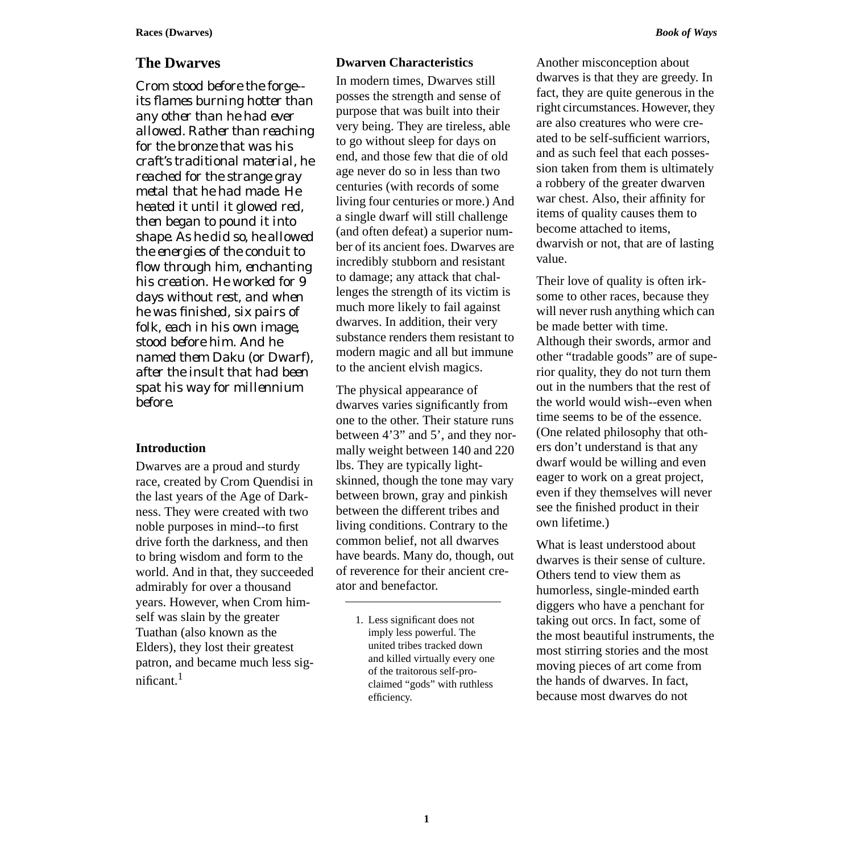### **The Dwarves**

*Crom stood before the forge- its flames burning hotter than any other than he had ever allowed. Rather than reaching for the bronze that was his craft's traditional material, he reached for the strange gray metal that he had made. He heated it until it glowed red, then began to pound it into shape. As he did so, he allowed the energies of the conduit to flow through him, enchanting his creation. He worked for 9 days without rest, and when he was finished, six pairs of folk, each in his own image, stood before him. And he named them Daku (or Dwarf), after the insult that had been spat his way for millennium before.*

#### **Introduction**

Dwarves are a proud and sturdy race, created by Crom Quendisi in the last years of the Age of Darkness. They were created with two noble purposes in mind--to first drive forth the darkness, and then to bring wisdom and form to the world. And in that, they succeeded admirably for over a thousand years. However, when Crom himself was slain by the greater Tuathan (also known as the Elders), they lost their greatest patron, and became much less significant  $1$ 

#### **Dwarven Characteristics**

In modern times, Dwarves still posses the strength and sense of purpose that was built into their very being. They are tireless, able to go without sleep for days on end, and those few that die of old age never do so in less than two centuries (with records of some living four centuries or more.) And a single dwarf will still challenge (and often defeat) a superior number of its ancient foes. Dwarves are incredibly stubborn and resistant to damage; any attack that challenges the strength of its victim is much more likely to fail against dwarves. In addition, their very substance renders them resistant to modern magic and all but immune to the ancient elvish magics.

The physical appearance of dwarves varies significantly from one to the other. Their stature runs between 4'3" and 5', and they normally weight between 140 and 220 lbs. They are typically lightskinned, though the tone may vary between brown, gray and pinkish between the different tribes and living conditions. Contrary to the common belief, not all dwarves have beards. Many do, though, out of reverence for their ancient creator and benefactor.

Another misconception about dwarves is that they are greedy. In fact, they are quite generous in the right circumstances. However, they are also creatures who were created to be self-sufficient warriors, and as such feel that each possession taken from them is ultimately a robbery of the greater dwarven war chest. Also, their affinity for items of quality causes them to become attached to items, dwarvish or not, that are of lasting value.

Their love of quality is often irksome to other races, because they will never rush anything which can be made better with time. Although their swords, armor and other "tradable goods" are of superior quality, they do not turn them out in the numbers that the rest of the world would wish--even when time seems to be of the essence. (One related philosophy that others don't understand is that any dwarf would be willing and even eager to work on a great project, even if they themselves will never see the finished product in their own lifetime.)

What is least understood about dwarves is their sense of culture. Others tend to view them as humorless, single-minded earth diggers who have a penchant for taking out orcs. In fact, some of the most beautiful instruments, the most stirring stories and the most moving pieces of art come from the hands of dwarves. In fact, because most dwarves do not

<sup>1.</sup> Less significant does not imply less powerful. The united tribes tracked down and killed virtually every one of the traitorous self-proclaimed "gods" with ruthless efficiency.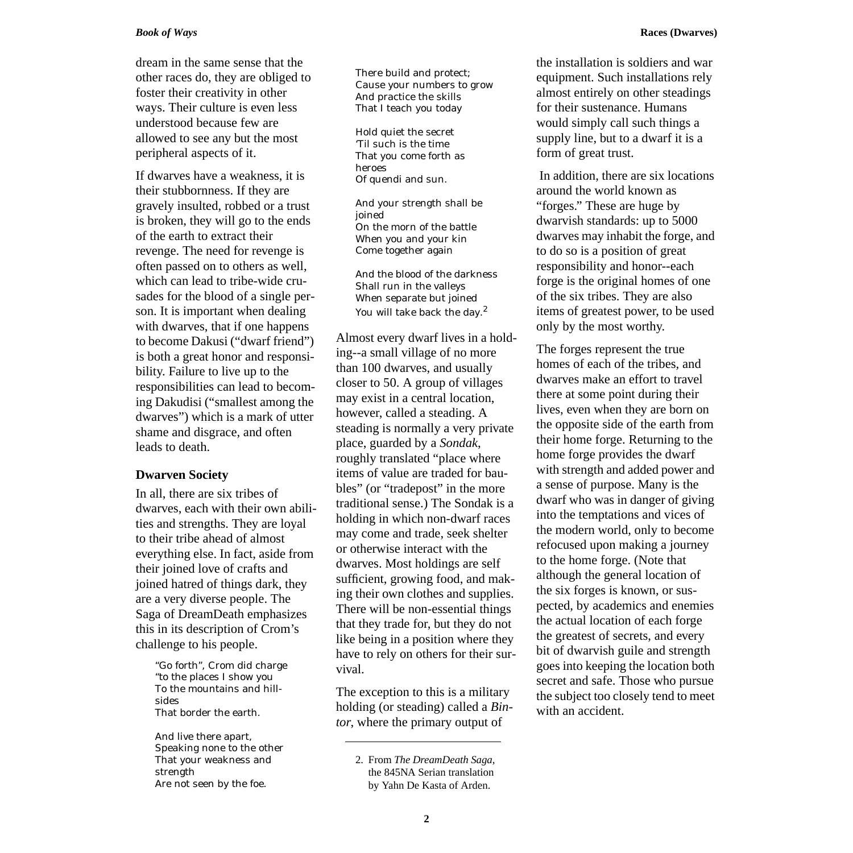dream in the same sense that the other races do, they are obliged to foster their creativity in other ways. Their culture is even less understood because few are allowed to see any but the most peripheral aspects of it.

If dwarves have a weakness, it is their stubbornness. If they are gravely insulted, robbed or a trust is broken, they will go to the ends of the earth to extract their revenge. The need for revenge is often passed on to others as well, which can lead to tribe-wide crusades for the blood of a single person. It is important when dealing with dwarves, that if one happens to become Dakusi ("dwarf friend") is both a great honor and responsibility. Failure to live up to the responsibilities can lead to becoming Dakudisi ("smallest among the dwarves") which is a mark of utter shame and disgrace, and often leads to death.

#### **Dwarven Society**

In all, there are six tribes of dwarves, each with their own abilities and strengths. They are loyal to their tribe ahead of almost everything else. In fact, aside from their joined love of crafts and joined hatred of things dark, they are a very diverse people. The Saga of DreamDeath emphasizes this in its description of Crom's challenge to his people.

> "Go forth", Crom did charge "to the places I show you To the mountains and hillsides That border the earth.

And live there apart, Speaking none to the other That your weakness and strength Are not seen by the foe.

There build and protect; Cause your numbers to grow And practice the skills That I teach you today

Hold quiet the secret 'Til such is the time That you come forth as heroes Of quendi and sun.

And your strength shall be joined On the morn of the battle When you and your kin Come together again

And the blood of the darkness Shall run in the valleys When separate but joined You will take back the day.<sup>2</sup>

Almost every dwarf lives in a holding--a small village of no more than 100 dwarves, and usually closer to 50. A group of villages may exist in a central location, however, called a steading. A steading is normally a very private place, guarded by a *Sondak*, roughly translated "place where items of value are traded for baubles" (or "tradepost" in the more traditional sense.) The Sondak is a holding in which non-dwarf races may come and trade, seek shelter or otherwise interact with the dwarves. Most holdings are self sufficient, growing food, and making their own clothes and supplies. There will be non-essential things that they trade for, but they do not like being in a position where they have to rely on others for their survival.

The exception to this is a military holding (or steading) called a *Bintor*, where the primary output of

the installation is soldiers and war equipment. Such installations rely almost entirely on other steadings for their sustenance. Humans would simply call such things a supply line, but to a dwarf it is a form of great trust.

In addition, there are six locations around the world known as "forges." These are huge by dwarvish standards: up to 5000 dwarves may inhabit the forge, and to do so is a position of great responsibility and honor--each forge is the original homes of one of the six tribes. They are also items of greatest power, to be used only by the most worthy.

The forges represent the true homes of each of the tribes, and dwarves make an effort to travel there at some point during their lives, even when they are born on the opposite side of the earth from their home forge. Returning to the home forge provides the dwarf with strength and added power and a sense of purpose. Many is the dwarf who was in danger of giving into the temptations and vices of the modern world, only to become refocused upon making a journey to the home forge. (Note that although the general location of the six forges is known, or suspected, by academics and enemies the actual location of each forge the greatest of secrets, and every bit of dwarvish guile and strength goes into keeping the location both secret and safe. Those who pursue the subject too closely tend to meet with an accident.

<sup>2.</sup> From *The DreamDeath Saga*, the 845NA Serian translation by Yahn De Kasta of Arden.